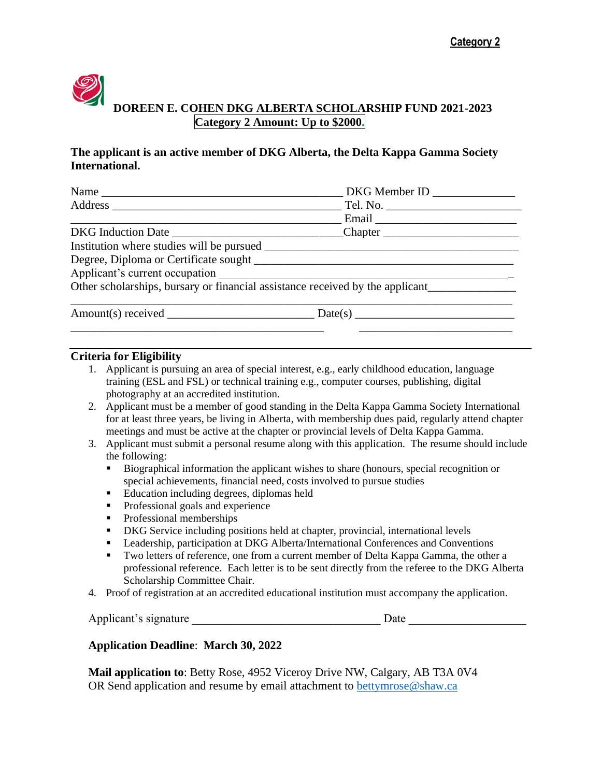

## **The applicant is an active member of DKG Alberta, the Delta Kappa Gamma Society International.**

|                                | DKG Member ID _______________ |  |  |
|--------------------------------|-------------------------------|--|--|
|                                |                               |  |  |
|                                |                               |  |  |
|                                |                               |  |  |
|                                |                               |  |  |
|                                |                               |  |  |
| Applicant's current occupation |                               |  |  |
|                                |                               |  |  |
| Amount(s) received             | Date(s)                       |  |  |
|                                |                               |  |  |

## **Criteria for Eligibility**

- 1. Applicant is pursuing an area of special interest, e.g., early childhood education, language training (ESL and FSL) or technical training e.g., computer courses, publishing, digital photography at an accredited institution.
- 2. Applicant must be a member of good standing in the Delta Kappa Gamma Society International for at least three years, be living in Alberta, with membership dues paid, regularly attend chapter meetings and must be active at the chapter or provincial levels of Delta Kappa Gamma.
- 3. Applicant must submit a personal resume along with this application. The resume should include the following:
	- Biographical information the applicant wishes to share (honours, special recognition or special achievements, financial need, costs involved to pursue studies
	- Education including degrees, diplomas held
	- **•** Professional goals and experience
	- Professional memberships
	- DKG Service including positions held at chapter, provincial, international levels
	- Leadership, participation at DKG Alberta/International Conferences and Conventions
	- **Two letters of reference, one from a current member of Delta Kappa Gamma, the other a** professional reference. Each letter is to be sent directly from the referee to the DKG Alberta Scholarship Committee Chair.
- 4. Proof of registration at an accredited educational institution must accompany the application.

|  | Applicant's signature |  |  |
|--|-----------------------|--|--|
|--|-----------------------|--|--|

## **Application Deadline**: **March 30, 2022**

**Mail application to**: Betty Rose, 4952 Viceroy Drive NW, Calgary, AB T3A 0V4 OR Send application and resume by email attachment to [bettymrose@shaw.ca](mailto:bettymrose@shaw.ca)